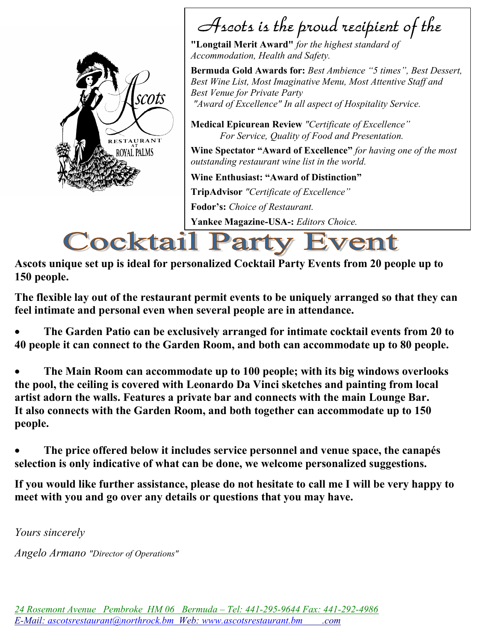

# Ascots is the proud recipient of the

"Longtail Merit Award" for the highest standard of Accommodation, Health and Safety.

Bermuda Gold Awards for: Best Ambience "5 times", Best Dessert, Best Wine List, Most Imaginative Menu, Most Attentive Staff and Best Venue for Private Party "Award of Excellence" In all aspect of Hospitality Service.

Medical Epicurean Review "Certificate of Excellence" For Service, Quality of Food and Presentation.

Wine Spectator "Award of Excellence" for having one of the most outstanding restaurant wine list in the world.

Wine Enthusiast: "Award of Distinction"

TripAdvisor "Certificate of Excellence"

Fodor's: Choice of Restaurant.

Yankee Magazine-USA-: Editors Choice.

# **Cocktail F** vent

Ascots unique set up is ideal for personalized Cocktail Party Events from 20 people up to 150 people.

The flexible lay out of the restaurant permit events to be uniquely arranged so that they can feel intimate and personal even when several people are in attendance.

 The Garden Patio can be exclusively arranged for intimate cocktail events from 20 to 40 people it can connect to the Garden Room, and both can accommodate up to 80 people.

 The Main Room can accommodate up to 100 people; with its big windows overlooks the pool, the ceiling is covered with Leonardo Da Vinci sketches and painting from local artist adorn the walls. Features a private bar and connects with the main Lounge Bar. It also connects with the Garden Room, and both together can accommodate up to 150 people.

 The price offered below it includes service personnel and venue space, the canapés selection is only indicative of what can be done, we welcome personalized suggestions.

If you would like further assistance, please do not hesitate to call me I will be very happy to meet with you and go over any details or questions that you may have.

Yours sincerely

Angelo Armano "Director of Operations"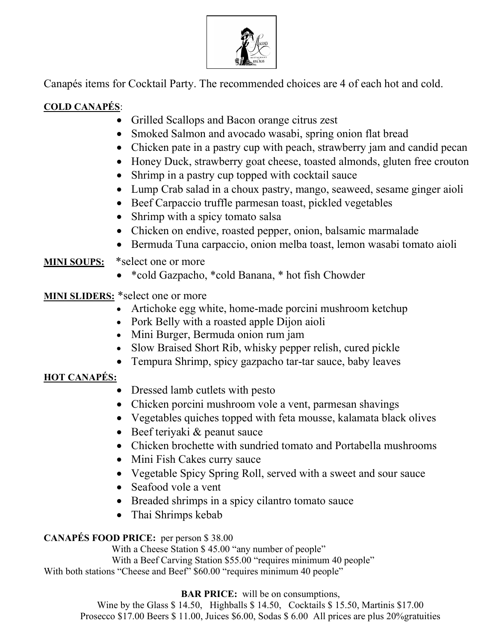

Canapés items for Cocktail Party. The recommended choices are 4 of each hot and cold.

# COLD CANAPÉS:

- Grilled Scallops and Bacon orange citrus zest
- Smoked Salmon and avocado wasabi, spring onion flat bread
- Chicken pate in a pastry cup with peach, strawberry jam and candid pecan
- Honey Duck, strawberry goat cheese, toasted almonds, gluten free crouton
- Shrimp in a pastry cup topped with cocktail sauce
- Lump Crab salad in a choux pastry, mango, seaweed, sesame ginger aioli
- Beef Carpaccio truffle parmesan toast, pickled vegetables
- Shrimp with a spicy tomato salsa
- Chicken on endive, roasted pepper, onion, balsamic marmalade
- Bermuda Tuna carpaccio, onion melba toast, lemon wasabi tomato aioli

## MINI SOUPS: \*select one or more

\*cold Gazpacho, \*cold Banana, \* hot fish Chowder

MINI SLIDERS: \*select one or more

- Artichoke egg white, home-made porcini mushroom ketchup
- Pork Belly with a roasted apple Dijon aioli
- Mini Burger, Bermuda onion rum jam
- Slow Braised Short Rib, whisky pepper relish, cured pickle
- Tempura Shrimp, spicy gazpacho tar-tar sauce, baby leaves

# HOT CANAPÉS:

- Dressed lamb cutlets with pesto
- Chicken porcini mushroom vole a vent, parmesan shavings
- Vegetables quiches topped with feta mousse, kalamata black olives
- $\bullet$  Beef teriyaki & peanut sauce
- Chicken brochette with sundried tomato and Portabella mushrooms
- Mini Fish Cakes curry sauce
- Vegetable Spicy Spring Roll, served with a sweet and sour sauce
- Seafood vole a vent
- Breaded shrimps in a spicy cilantro tomato sauce
- Thai Shrimps kebab

### CANAPÉS FOOD PRICE: per person \$ 38.00

With a Cheese Station \$45.00 "any number of people" With a Beef Carving Station \$55.00 "requires minimum 40 people" With both stations "Cheese and Beef" \$60.00 "requires minimum 40 people"

BAR PRICE: will be on consumptions,

Wine by the Glass \$ 14.50, Highballs \$ 14.50, Cocktails \$ 15.50, Martinis \$17.00 Prosecco \$17.00 Beers \$ 11.00, Juices \$6.00, Sodas \$ 6.00 All prices are plus 20%gratuities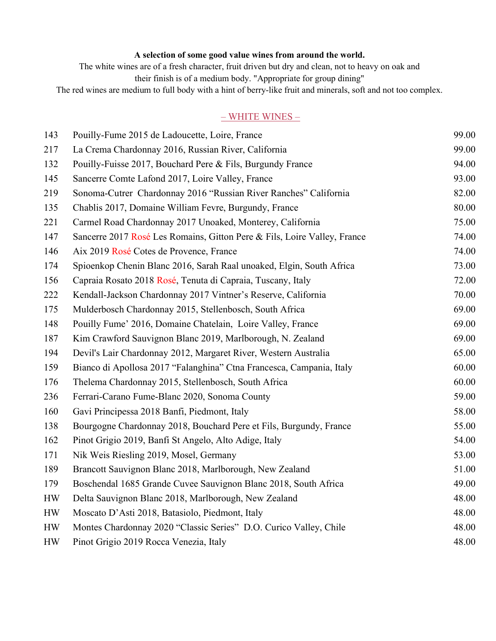#### A selection of some good value wines from around the world.

The white wines are of a fresh character, fruit driven but dry and clean, not to heavy on oak and

their finish is of a medium body. "Appropriate for group dining"

The red wines are medium to full body with a hint of berry-like fruit and minerals, soft and not too complex.

#### – WHITE WINES –

| 143 | Pouilly-Fume 2015 de Ladoucette, Loire, France                           | 99.00 |
|-----|--------------------------------------------------------------------------|-------|
| 217 | La Crema Chardonnay 2016, Russian River, California                      | 99.00 |
| 132 | Pouilly-Fuisse 2017, Bouchard Pere & Fils, Burgundy France               | 94.00 |
| 145 | Sancerre Comte Lafond 2017, Loire Valley, France                         | 93.00 |
| 219 | Sonoma-Cutrer Chardonnay 2016 "Russian River Ranches" California         | 82.00 |
| 135 | Chablis 2017, Domaine William Fevre, Burgundy, France                    | 80.00 |
| 221 | Carmel Road Chardonnay 2017 Unoaked, Monterey, California                | 75.00 |
| 147 | Sancerre 2017 Rosé Les Romains, Gitton Pere & Fils, Loire Valley, France | 74.00 |
| 146 | Aix 2019 Rosé Cotes de Provence, France                                  | 74.00 |
| 174 | Spioenkop Chenin Blanc 2016, Sarah Raal unoaked, Elgin, South Africa     | 73.00 |
| 156 | Capraia Rosato 2018 Rosé, Tenuta di Capraia, Tuscany, Italy              | 72.00 |
| 222 | Kendall-Jackson Chardonnay 2017 Vintner's Reserve, California            | 70.00 |
| 175 | Mulderbosch Chardonnay 2015, Stellenbosch, South Africa                  | 69.00 |
| 148 | Pouilly Fume' 2016, Domaine Chatelain, Loire Valley, France              | 69.00 |
| 187 | Kim Crawford Sauvignon Blanc 2019, Marlborough, N. Zealand               | 69.00 |
| 194 | Devil's Lair Chardonnay 2012, Margaret River, Western Australia          | 65.00 |
| 159 | Bianco di Apollosa 2017 "Falanghina" Ctna Francesca, Campania, Italy     | 60.00 |
| 176 | Thelema Chardonnay 2015, Stellenbosch, South Africa                      | 60.00 |
| 236 | Ferrari-Carano Fume-Blanc 2020, Sonoma County                            | 59.00 |
| 160 | Gavi Principessa 2018 Banfi, Piedmont, Italy                             | 58.00 |
| 138 | Bourgogne Chardonnay 2018, Bouchard Pere et Fils, Burgundy, France       | 55.00 |
| 162 | Pinot Grigio 2019, Banfi St Angelo, Alto Adige, Italy                    | 54.00 |
| 171 | Nik Weis Riesling 2019, Mosel, Germany                                   | 53.00 |
| 189 | Brancott Sauvignon Blanc 2018, Marlborough, New Zealand                  | 51.00 |
| 179 | Boschendal 1685 Grande Cuvee Sauvignon Blanc 2018, South Africa          | 49.00 |
| HW  | Delta Sauvignon Blanc 2018, Marlborough, New Zealand                     | 48.00 |
| HW  | Moscato D'Asti 2018, Batasiolo, Piedmont, Italy                          | 48.00 |
| HW  | Montes Chardonnay 2020 "Classic Series" D.O. Curico Valley, Chile        | 48.00 |
| HW  | Pinot Grigio 2019 Rocca Venezia, Italy                                   | 48.00 |
|     |                                                                          |       |